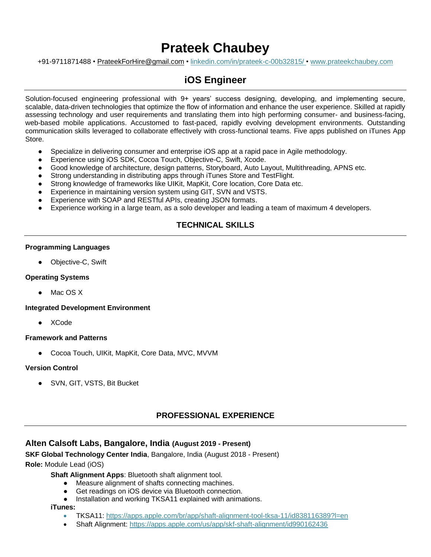# **Prateek Chaubey**

+91-9711871488 • PrateekForHire@gmail.com • [linkedin.com/in/prateek-c-00b32815/](https://www.linkedin.com/in/prateek-chaubey-00b32815/) • [www.prateekchaubey.com](http://www.prateekchaubey.com/)

# **iOS Engineer**

Solution-focused engineering professional with 9+ years' success designing, developing, and implementing secure, scalable, data-driven technologies that optimize the flow of information and enhance the user experience. Skilled at rapidly assessing technology and user requirements and translating them into high performing consumer- and business-facing, web-based mobile applications. Accustomed to fast-paced, rapidly evolving development environments. Outstanding communication skills leveraged to collaborate effectively with cross-functional teams. Five apps published on iTunes App Store.

- Specialize in delivering consumer and enterprise iOS app at a rapid pace in Agile methodology.
- Experience using iOS SDK, Cocoa Touch, Objective-C, Swift, Xcode.
- Good knowledge of architecture, design patterns, Storyboard, Auto Layout, Multithreading, APNS etc.
- Strong understanding in distributing apps through iTunes Store and TestFlight.
- Strong knowledge of frameworks like UIKit, MapKit, Core location, Core Data etc.
- Experience in maintaining version system using GIT, SVN and VSTS.
- Experience with SOAP and RESTful APIs, creating JSON formats.
- Experience working in a large team, as a solo developer and leading a team of maximum 4 developers.

## **TECHNICAL SKILLS**

#### **Programming Languages**

Objective-C, Swift

#### **Operating Systems**

Mac OS X

#### **Integrated Development Environment**

● XCode

#### **Framework and Patterns**

● Cocoa Touch, UIKit, MapKit, Core Data, MVC, MVVM

#### **Version Control**

● SVN, GIT, VSTS, Bit Bucket

#### **PROFESSIONAL EXPERIENCE**

#### **Alten Calsoft Labs, Bangalore, India (August 2019 - Present)**

# **SKF Global Technology Center India**, Bangalore, India (August 2018 - Present)

# **Role:** Module Lead (iOS)

#### **Shaft Alignment Apps**: Bluetooth shaft alignment tool.

- Measure alignment of shafts connecting machines.
- Get readings on iOS device via Bluetooth connection.
- Installation and working TKSA11 explained with animations.

#### **iTunes:**

- TKSA11:<https://apps.apple.com/br/app/shaft-alignment-tool-tksa-11/id838116389?l=en>
- Shaft Alignment:<https://apps.apple.com/us/app/skf-shaft-alignment/id990162436>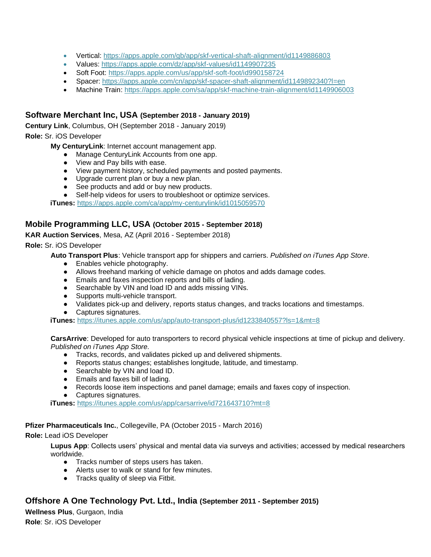- Vertical:<https://apps.apple.com/gb/app/skf-vertical-shaft-alignment/id1149886803>
- Values:<https://apps.apple.com/dz/app/skf-values/id1149907235>
- Soft Foot:<https://apps.apple.com/us/app/skf-soft-foot/id990158724>
- Spacer:<https://apps.apple.com/cn/app/skf-spacer-shaft-alignment/id1149892340?l=en>
- Machine Train:<https://apps.apple.com/sa/app/skf-machine-train-alignment/id1149906003>

#### **Software Merchant Inc, USA (September 2018 - January 2019)**

**Century Link**, Columbus, OH (September 2018 - January 2019)

**Role:** Sr. iOS Developer

**My CenturyLink**: Internet account management app.

- Manage CenturyLink Accounts from one app.
- View and Pay bills with ease.
- View payment history, scheduled payments and posted payments.
- Upgrade current plan or buy a new plan.
- See products and add or buy new products.
- Self-help videos for users to troubleshoot or optimize services.

**iTunes:** <https://apps.apple.com/ca/app/my-centurylink/id1015059570>

#### **Mobile Programming LLC, USA (October 2015 - September 2018)**

**KAR Auction Services**, Mesa, AZ (April 2016 - September 2018)

#### **Role:** Sr. iOS Developer

**Auto Transport Plus**: Vehicle transport app for shippers and carriers. *Published on iTunes App Store*.

- Enables vehicle photography.
- Allows freehand marking of vehicle damage on photos and adds damage codes.
- Emails and faxes inspection reports and bills of lading.
- Searchable by VIN and load ID and adds missing VINs.
- Supports multi-vehicle transport.
- Validates pick-up and delivery, reports status changes, and tracks locations and timestamps.
- Captures signatures.

**iTunes:** <https://itunes.apple.com/us/app/auto-transport-plus/id1233840557?ls=1&mt=8>

**CarsArrive**: Developed for auto transporters to record physical vehicle inspections at time of pickup and delivery. *Published on iTunes App Store.*

- Tracks, records, and validates picked up and delivered shipments.
- Reports status changes; establishes longitude, latitude, and timestamp.
- Searchable by VIN and load ID.
- Emails and faxes bill of lading.
- Records loose item inspections and panel damage; emails and faxes copy of inspection.
- Captures signatures.

**iTunes:** <https://itunes.apple.com/us/app/carsarrive/id721643710?mt=8>

#### **Pfizer Pharmaceuticals Inc.**, Collegeville, PA (October 2015 - March 2016)

#### **Role:** Lead iOS Developer

**Lupus App**: Collects users' physical and mental data via surveys and activities; accessed by medical researchers worldwide.

- Tracks number of steps users has taken.
- Alerts user to walk or stand for few minutes.
- Tracks quality of sleep via Fitbit.

### **Offshore A One Technology Pvt. Ltd., India (September 2011 - September 2015)**

**Wellness Plus**, Gurgaon, India

**Role**: Sr. iOS Developer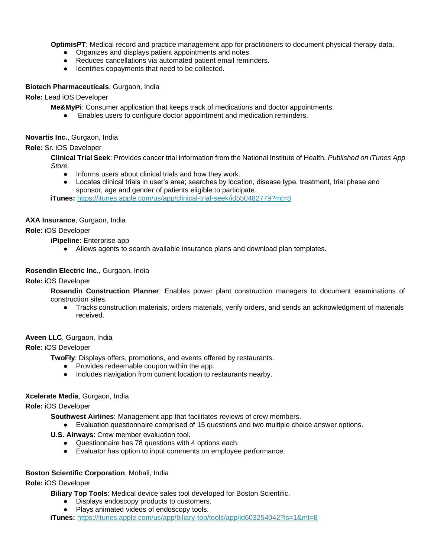**OptimisPT**: Medical record and practice management app for practitioners to document physical therapy data.

- Organizes and displays patient appointments and notes.
- Reduces cancellations via automated patient email reminders.
- Identifies copayments that need to be collected.

#### **Biotech Pharmaceuticals**, Gurgaon, India

**Role:** Lead iOS Developer

**Me&MyPi**: Consumer application that keeps track of medications and doctor appointments.

Enables users to configure doctor appointment and medication reminders.

**Novartis Inc.**, Gurgaon, India

**Role:** Sr. iOS Developer

**Clinical Trial Seek**: Provides cancer trial information from the National Institute of Health. *Published on iTunes App Store.*

- Informs users about clinical trials and how they work.
- Locates clinical trials in user's area; searches by location, disease type, treatment, trial phase and sponsor, age and gender of patients eligible to participate.

**iTunes:** <https://itunes.apple.com/us/app/clinical-trial-seek/id550482779?mt=8>

#### **AXA Insurance**, Gurgaon, India

#### **Role:** iOS Developer

**iPipeline**: Enterprise app

● Allows agents to search available insurance plans and download plan templates.

#### **Rosendin Electric Inc.**, Gurgaon, India

**Role:** iOS Developer

**Rosendin Construction Planner**: Enables power plant construction managers to document examinations of construction sites.

● Tracks construction materials, orders materials, verify orders, and sends an acknowledgment of materials received.

#### **Aveen LLC**, Gurgaon, India

#### **Role:** iOS Developer

**TwoFly**: Displays offers, promotions, and events offered by restaurants.

- Provides redeemable coupon within the app.
- Includes navigation from current location to restaurants nearby.

#### **Xcelerate Media**, Gurgaon, India

**Role:** iOS Developer

- **Southwest Airlines**: Management app that facilitates reviews of crew members.
	- Evaluation questionnaire comprised of 15 questions and two multiple choice answer options.
- **U.S. Airways**: Crew member evaluation tool.
	- Questionnaire has 78 questions with 4 options each.
	- Evaluator has option to input comments on employee performance.

#### **Boston Scientific Corporation**, Mohali, India

**Role:** iOS Developer

**Biliary Top Tools**: Medical device sales tool developed for Boston Scientific.

- Displays endoscopy products to customers.
- Plays animated videos of endoscopy tools.

**iTunes:** <https://itunes.apple.com/us/app/biliary-top/tools/app/id603254042?ls=1&mt=8>